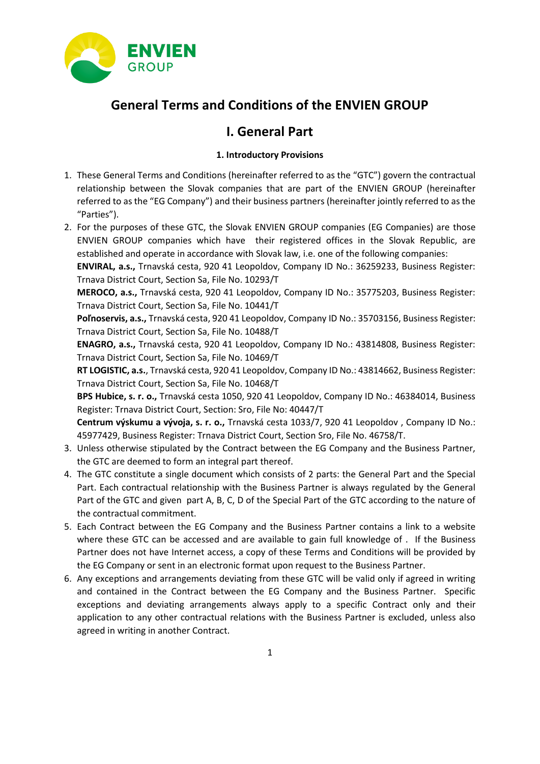

# **General Terms and Conditions of the ENVIEN GROUP**

## **I. General Part**

## **1. Introductory Provisions**

- 1. These General Terms and Conditions (hereinafter referred to as the "GTC") govern the contractual relationship between the Slovak companies that are part of the ENVIEN GROUP (hereinafter referred to as the "EG Company") and their business partners (hereinafter jointly referred to as the "Parties").
- 2. For the purposes of these GTC, the Slovak ENVIEN GROUP companies (EG Companies) are those ENVIEN GROUP companies which have their registered offices in the Slovak Republic, are established and operate in accordance with Slovak law, i.e. one of the following companies:

**ENVIRAL, a.s.,** Trnavská cesta, 920 41 Leopoldov, Company ID No.: 36259233, Business Register: Trnava District Court, Section Sa, File No. 10293/T

**MEROCO, a.s.,** Trnavská cesta, 920 41 Leopoldov, Company ID No.: 35775203, Business Register: Trnava District Court, Section Sa, File No. 10441/T

**Poľnoservis, a.s.,** Trnavská cesta, 920 41 Leopoldov, Company ID No.: 35703156, Business Register: Trnava District Court, Section Sa, File No. 10488/T

**ENAGRO, a.s.,** Trnavská cesta, 920 41 Leopoldov, Company ID No.: 43814808, Business Register: Trnava District Court, Section Sa, File No. 10469/T

**RT LOGISTIC, a.s.**, Trnavská cesta, 920 41 Leopoldov, Company ID No.: 43814662, Business Register: Trnava District Court, Section Sa, File No. 10468/T

**BPS Hubice, s. r. o.,** Trnavská cesta 1050, 920 41 Leopoldov, Company ID No.: 46384014, Business Register: Trnava District Court, Section: Sro, File No: 40447/T

**Centrum výskumu a vývoja, s. r. o.,** Trnavská cesta 1033/7, 920 41 Leopoldov , Company ID No.: 45977429, Business Register: Trnava District Court, Section Sro, File No. 46758/T.

- 3. Unless otherwise stipulated by the Contract between the EG Company and the Business Partner, the GTC are deemed to form an integral part thereof.
- 4. The GTC constitute a single document which consists of 2 parts: the General Part and the Special Part. Each contractual relationship with the Business Partner is always regulated by the General Part of the GTC and given part A, B, C, D of the Special Part of the GTC according to the nature of the contractual commitment.
- 5. Each Contract between the EG Company and the Business Partner contains a link to a website where these GTC can be accessed and are available to gain full knowledge of . If the Business Partner does not have Internet access, a copy of these Terms and Conditions will be provided by the EG Company or sent in an electronic format upon request to the Business Partner.
- 6. Any exceptions and arrangements deviating from these GTC will be valid only if agreed in writing and contained in the Contract between the EG Company and the Business Partner. Specific exceptions and deviating arrangements always apply to a specific Contract only and their application to any other contractual relations with the Business Partner is excluded, unless also agreed in writing in another Contract.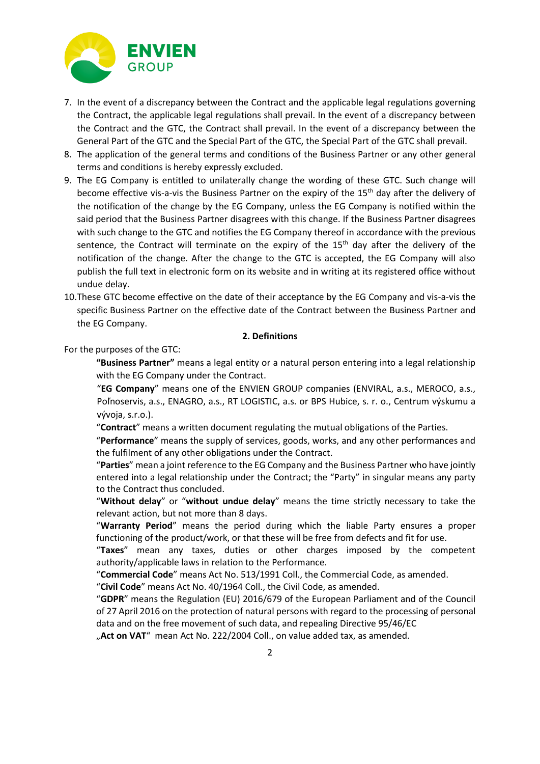

- 7. In the event of a discrepancy between the Contract and the applicable legal regulations governing the Contract, the applicable legal regulations shall prevail. In the event of a discrepancy between the Contract and the GTC, the Contract shall prevail. In the event of a discrepancy between the General Part of the GTC and the Special Part of the GTC, the Special Part of the GTC shall prevail.
- 8. The application of the general terms and conditions of the Business Partner or any other general terms and conditions is hereby expressly excluded.
- 9. The EG Company is entitled to unilaterally change the wording of these GTC. Such change will become effective vis-a-vis the Business Partner on the expiry of the 15<sup>th</sup> day after the delivery of the notification of the change by the EG Company, unless the EG Company is notified within the said period that the Business Partner disagrees with this change. If the Business Partner disagrees with such change to the GTC and notifies the EG Company thereof in accordance with the previous sentence, the Contract will terminate on the expiry of the  $15<sup>th</sup>$  day after the delivery of the notification of the change. After the change to the GTC is accepted, the EG Company will also publish the full text in electronic form on its website and in writing at its registered office without undue delay.
- 10.These GTC become effective on the date of their acceptance by the EG Company and vis-a-vis the specific Business Partner on the effective date of the Contract between the Business Partner and the EG Company.

#### **2. Definitions**

For the purposes of the GTC:

**"Business Partner"** means a legal entity or a natural person entering into a legal relationship with the EG Company under the Contract.

"**EG Company**" means one of the ENVIEN GROUP companies (ENVIRAL, a.s., MEROCO, a.s., Poľnoservis, a.s., ENAGRO, a.s., RT LOGISTIC, a.s. or BPS Hubice, s. r. o., Centrum výskumu a vývoja, s.r.o.).

"**Contract**" means a written document regulating the mutual obligations of the Parties.

"**Performance**" means the supply of services, goods, works, and any other performances and the fulfilment of any other obligations under the Contract.

"**Parties**" mean a joint reference to the EG Company and the Business Partner who have jointly entered into a legal relationship under the Contract; the "Party" in singular means any party to the Contract thus concluded.

"**Without delay**" or "**without undue delay**" means the time strictly necessary to take the relevant action, but not more than 8 days.

"**Warranty Period**" means the period during which the liable Party ensures a proper functioning of the product/work, or that these will be free from defects and fit for use.

"**Taxes**" mean any taxes, duties or other charges imposed by the competent authority/applicable laws in relation to the Performance.

"**Commercial Code**" means Act No. 513/1991 Coll., the Commercial Code, as amended.

"**Civil Code**" means Act No. 40/1964 Coll., the Civil Code, as amended.

"**GDPR**" means the Regulation (EU) 2016/679 of the European Parliament and of the Council of 27 April 2016 on the protection of natural persons with regard to the processing of personal data and on the free movement of such data, and repealing Directive 95/46/EC

"Act on VAT" mean Act No. 222/2004 Coll., on value added tax, as amended.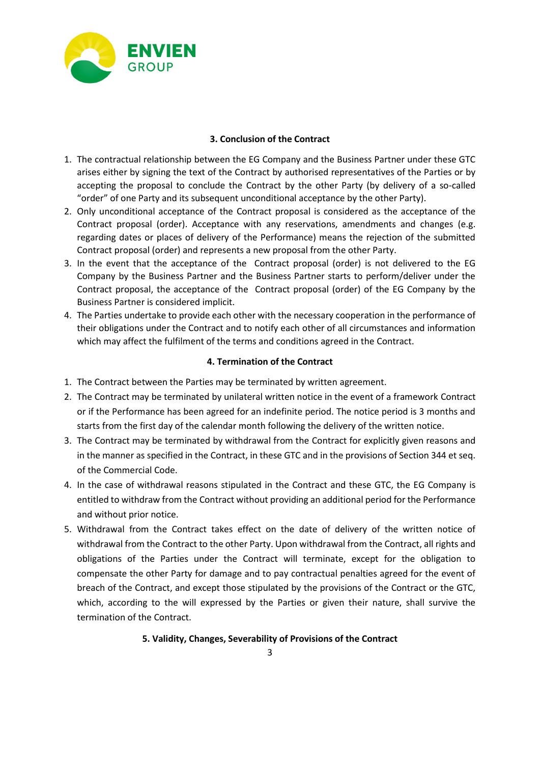

## **3. Conclusion of the Contract**

- 1. The contractual relationship between the EG Company and the Business Partner under these GTC arises either by signing the text of the Contract by authorised representatives of the Parties or by accepting the proposal to conclude the Contract by the other Party (by delivery of a so-called "order" of one Party and its subsequent unconditional acceptance by the other Party).
- 2. Only unconditional acceptance of the Contract proposal is considered as the acceptance of the Contract proposal (order). Acceptance with any reservations, amendments and changes (e.g. regarding dates or places of delivery of the Performance) means the rejection of the submitted Contract proposal (order) and represents a new proposal from the other Party.
- 3. In the event that the acceptance of the Contract proposal (order) is not delivered to the EG Company by the Business Partner and the Business Partner starts to perform/deliver under the Contract proposal, the acceptance of the Contract proposal (order) of the EG Company by the Business Partner is considered implicit.
- 4. The Parties undertake to provide each other with the necessary cooperation in the performance of their obligations under the Contract and to notify each other of all circumstances and information which may affect the fulfilment of the terms and conditions agreed in the Contract.

## **4. Termination of the Contract**

- 1. The Contract between the Parties may be terminated by written agreement.
- 2. The Contract may be terminated by unilateral written notice in the event of a framework Contract or if the Performance has been agreed for an indefinite period. The notice period is 3 months and starts from the first day of the calendar month following the delivery of the written notice.
- 3. The Contract may be terminated by withdrawal from the Contract for explicitly given reasons and in the manner as specified in the Contract, in these GTC and in the provisions of Section 344 et seq. of the Commercial Code.
- 4. In the case of withdrawal reasons stipulated in the Contract and these GTC, the EG Company is entitled to withdraw from the Contract without providing an additional period for the Performance and without prior notice.
- 5. Withdrawal from the Contract takes effect on the date of delivery of the written notice of withdrawal from the Contract to the other Party. Upon withdrawal from the Contract, all rights and obligations of the Parties under the Contract will terminate, except for the obligation to compensate the other Party for damage and to pay contractual penalties agreed for the event of breach of the Contract, and except those stipulated by the provisions of the Contract or the GTC, which, according to the will expressed by the Parties or given their nature, shall survive the termination of the Contract.

## **5. Validity, Changes, Severability of Provisions of the Contract**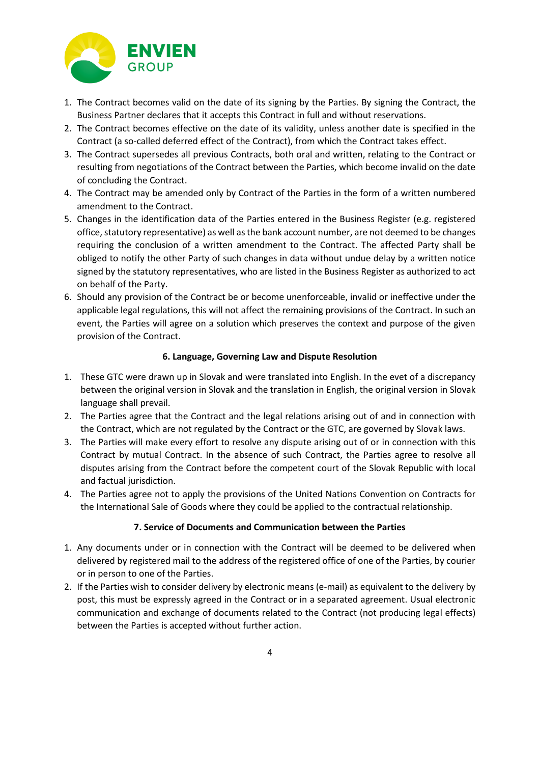

- 1. The Contract becomes valid on the date of its signing by the Parties. By signing the Contract, the Business Partner declares that it accepts this Contract in full and without reservations.
- 2. The Contract becomes effective on the date of its validity, unless another date is specified in the Contract (a so-called deferred effect of the Contract), from which the Contract takes effect.
- 3. The Contract supersedes all previous Contracts, both oral and written, relating to the Contract or resulting from negotiations of the Contract between the Parties, which become invalid on the date of concluding the Contract.
- 4. The Contract may be amended only by Contract of the Parties in the form of a written numbered amendment to the Contract.
- 5. Changes in the identification data of the Parties entered in the Business Register (e.g. registered office, statutory representative) as well as the bank account number, are not deemed to be changes requiring the conclusion of a written amendment to the Contract. The affected Party shall be obliged to notify the other Party of such changes in data without undue delay by a written notice signed by the statutory representatives, who are listed in the Business Register as authorized to act on behalf of the Party.
- 6. Should any provision of the Contract be or become unenforceable, invalid or ineffective under the applicable legal regulations, this will not affect the remaining provisions of the Contract. In such an event, the Parties will agree on a solution which preserves the context and purpose of the given provision of the Contract.

## **6. Language, Governing Law and Dispute Resolution**

- 1. These GTC were drawn up in Slovak and were translated into English. In the evet of a discrepancy between the original version in Slovak and the translation in English, the original version in Slovak language shall prevail.
- 2. The Parties agree that the Contract and the legal relations arising out of and in connection with the Contract, which are not regulated by the Contract or the GTC, are governed by Slovak laws.
- 3. The Parties will make every effort to resolve any dispute arising out of or in connection with this Contract by mutual Contract. In the absence of such Contract, the Parties agree to resolve all disputes arising from the Contract before the competent court of the Slovak Republic with local and factual jurisdiction.
- 4. The Parties agree not to apply the provisions of the United Nations Convention on Contracts for the International Sale of Goods where they could be applied to the contractual relationship.

#### **7. Service of Documents and Communication between the Parties**

- 1. Any documents under or in connection with the Contract will be deemed to be delivered when delivered by registered mail to the address of the registered office of one of the Parties, by courier or in person to one of the Parties.
- 2. If the Parties wish to consider delivery by electronic means (e-mail) as equivalent to the delivery by post, this must be expressly agreed in the Contract or in a separated agreement. Usual electronic communication and exchange of documents related to the Contract (not producing legal effects) between the Parties is accepted without further action.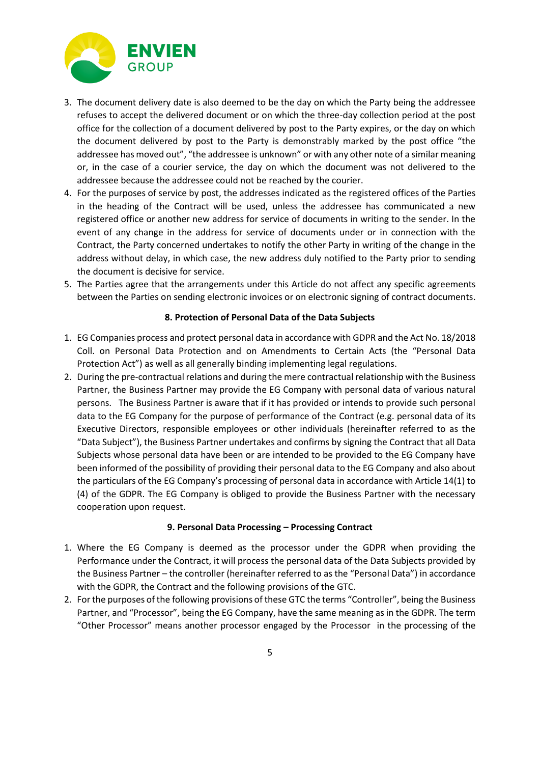

- 3. The document delivery date is also deemed to be the day on which the Party being the addressee refuses to accept the delivered document or on which the three-day collection period at the post office for the collection of a document delivered by post to the Party expires, or the day on which the document delivered by post to the Party is demonstrably marked by the post office "the addressee has moved out", "the addressee is unknown" or with any other note of a similar meaning or, in the case of a courier service, the day on which the document was not delivered to the addressee because the addressee could not be reached by the courier.
- 4. For the purposes of service by post, the addresses indicated as the registered offices of the Parties in the heading of the Contract will be used, unless the addressee has communicated a new registered office or another new address for service of documents in writing to the sender. In the event of any change in the address for service of documents under or in connection with the Contract, the Party concerned undertakes to notify the other Party in writing of the change in the address without delay, in which case, the new address duly notified to the Party prior to sending the document is decisive for service.
- 5. The Parties agree that the arrangements under this Article do not affect any specific agreements between the Parties on sending electronic invoices or on electronic signing of contract documents.

#### **8. Protection of Personal Data of the Data Subjects**

- 1. EG Companies process and protect personal data in accordance with GDPR and the Act No. 18/2018 Coll. on Personal Data Protection and on Amendments to Certain Acts (the "Personal Data Protection Act") as well as all generally binding implementing legal regulations.
- 2. During the pre-contractual relations and during the mere contractual relationship with the Business Partner, the Business Partner may provide the EG Company with personal data of various natural persons. The Business Partner is aware that if it has provided or intends to provide such personal data to the EG Company for the purpose of performance of the Contract (e.g. personal data of its Executive Directors, responsible employees or other individuals (hereinafter referred to as the "Data Subject"), the Business Partner undertakes and confirms by signing the Contract that all Data Subjects whose personal data have been or are intended to be provided to the EG Company have been informed of the possibility of providing their personal data to the EG Company and also about the particulars of the EG Company's processing of personal data in accordance with Article 14(1) to (4) of the GDPR. The EG Company is obliged to provide the Business Partner with the necessary cooperation upon request.

#### **9. Personal Data Processing – Processing Contract**

- 1. Where the EG Company is deemed as the processor under the GDPR when providing the Performance under the Contract, it will process the personal data of the Data Subjects provided by the Business Partner – the controller (hereinafter referred to as the "Personal Data") in accordance with the GDPR, the Contract and the following provisions of the GTC.
- 2. For the purposes of the following provisions of these GTC the terms "Controller", being the Business Partner, and "Processor", being the EG Company, have the same meaning as in the GDPR. The term "Other Processor" means another processor engaged by the Processor in the processing of the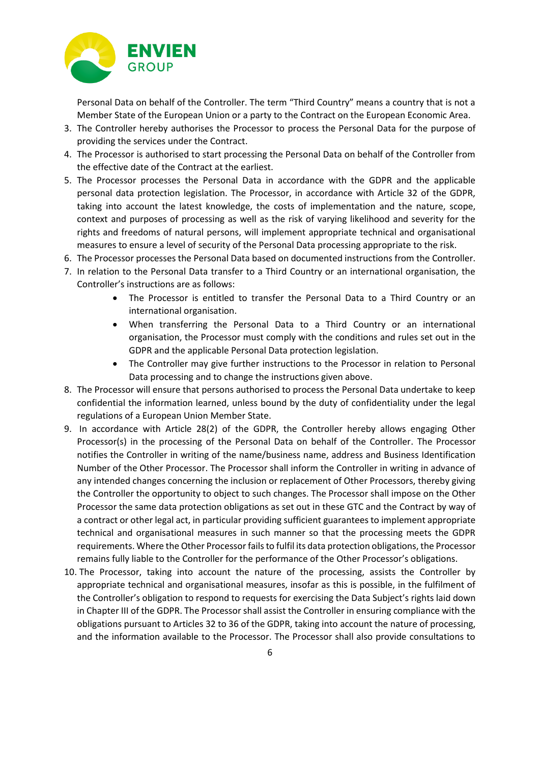

Personal Data on behalf of the Controller. The term "Third Country" means a country that is not a Member State of the European Union or a party to the Contract on the European Economic Area.

- 3. The Controller hereby authorises the Processor to process the Personal Data for the purpose of providing the services under the Contract.
- 4. The Processor is authorised to start processing the Personal Data on behalf of the Controller from the effective date of the Contract at the earliest.
- 5. The Processor processes the Personal Data in accordance with the GDPR and the applicable personal data protection legislation. The Processor, in accordance with Article 32 of the GDPR, taking into account the latest knowledge, the costs of implementation and the nature, scope, context and purposes of processing as well as the risk of varying likelihood and severity for the rights and freedoms of natural persons, will implement appropriate technical and organisational measures to ensure a level of security of the Personal Data processing appropriate to the risk.
- 6. The Processor processes the Personal Data based on documented instructions from the Controller.
- 7. In relation to the Personal Data transfer to a Third Country or an international organisation, the Controller's instructions are as follows:
	- The Processor is entitled to transfer the Personal Data to a Third Country or an international organisation.
	- When transferring the Personal Data to a Third Country or an international organisation, the Processor must comply with the conditions and rules set out in the GDPR and the applicable Personal Data protection legislation.
	- The Controller may give further instructions to the Processor in relation to Personal Data processing and to change the instructions given above.
- 8. The Processor will ensure that persons authorised to process the Personal Data undertake to keep confidential the information learned, unless bound by the duty of confidentiality under the legal regulations of a European Union Member State.
- 9. In accordance with Article 28(2) of the GDPR, the Controller hereby allows engaging Other Processor(s) in the processing of the Personal Data on behalf of the Controller. The Processor notifies the Controller in writing of the name/business name, address and Business Identification Number of the Other Processor. The Processor shall inform the Controller in writing in advance of any intended changes concerning the inclusion or replacement of Other Processors, thereby giving the Controller the opportunity to object to such changes. The Processor shall impose on the Other Processor the same data protection obligations as set out in these GTC and the Contract by way of a contract or other legal act, in particular providing sufficient guarantees to implement appropriate technical and organisational measures in such manner so that the processing meets the GDPR requirements. Where the Other Processor fails to fulfil its data protection obligations, the Processor remains fully liable to the Controller for the performance of the Other Processor's obligations.
- 10. The Processor, taking into account the nature of the processing, assists the Controller by appropriate technical and organisational measures, insofar as this is possible, in the fulfilment of the Controller's obligation to respond to requests for exercising the Data Subject's rights laid down in Chapter III of the GDPR. The Processor shall assist the Controller in ensuring compliance with the obligations pursuant to Articles 32 to 36 of the GDPR, taking into account the nature of processing, and the information available to the Processor. The Processor shall also provide consultations to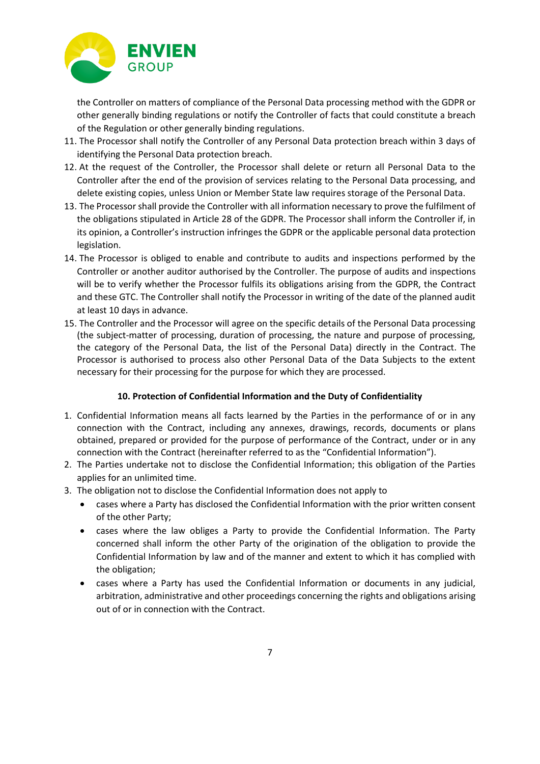

the Controller on matters of compliance of the Personal Data processing method with the GDPR or other generally binding regulations or notify the Controller of facts that could constitute a breach of the Regulation or other generally binding regulations.

- 11. The Processor shall notify the Controller of any Personal Data protection breach within 3 days of identifying the Personal Data protection breach.
- 12. At the request of the Controller, the Processor shall delete or return all Personal Data to the Controller after the end of the provision of services relating to the Personal Data processing, and delete existing copies, unless Union or Member State law requires storage of the Personal Data.
- 13. The Processor shall provide the Controller with all information necessary to prove the fulfilment of the obligations stipulated in Article 28 of the GDPR. The Processor shall inform the Controller if, in its opinion, a Controller's instruction infringes the GDPR or the applicable personal data protection legislation.
- 14. The Processor is obliged to enable and contribute to audits and inspections performed by the Controller or another auditor authorised by the Controller. The purpose of audits and inspections will be to verify whether the Processor fulfils its obligations arising from the GDPR, the Contract and these GTC. The Controller shall notify the Processor in writing of the date of the planned audit at least 10 days in advance.
- 15. The Controller and the Processor will agree on the specific details of the Personal Data processing (the subject-matter of processing, duration of processing, the nature and purpose of processing, the category of the Personal Data, the list of the Personal Data) directly in the Contract. The Processor is authorised to process also other Personal Data of the Data Subjects to the extent necessary for their processing for the purpose for which they are processed.

## **10. Protection of Confidential Information and the Duty of Confidentiality**

- 1. Confidential Information means all facts learned by the Parties in the performance of or in any connection with the Contract, including any annexes, drawings, records, documents or plans obtained, prepared or provided for the purpose of performance of the Contract, under or in any connection with the Contract (hereinafter referred to as the "Confidential Information").
- 2. The Parties undertake not to disclose the Confidential Information; this obligation of the Parties applies for an unlimited time.
- 3. The obligation not to disclose the Confidential Information does not apply to
	- cases where a Party has disclosed the Confidential Information with the prior written consent of the other Party;
	- cases where the law obliges a Party to provide the Confidential Information. The Party concerned shall inform the other Party of the origination of the obligation to provide the Confidential Information by law and of the manner and extent to which it has complied with the obligation;
	- cases where a Party has used the Confidential Information or documents in any judicial, arbitration, administrative and other proceedings concerning the rights and obligations arising out of or in connection with the Contract.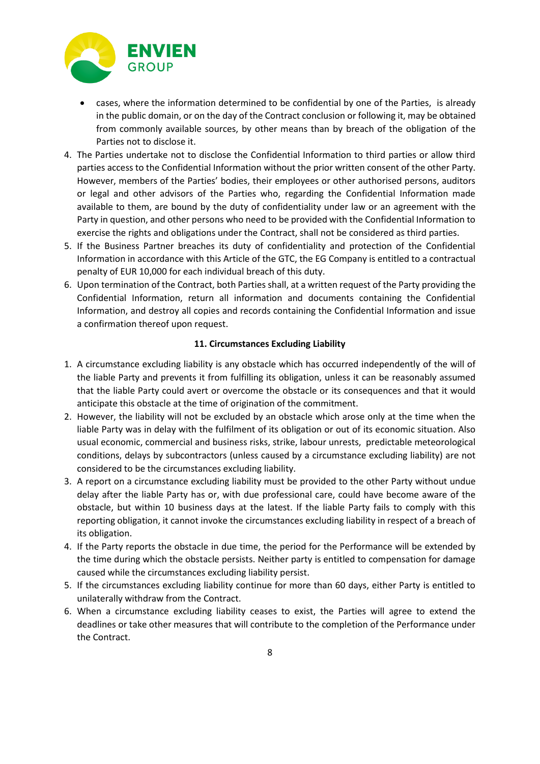

- cases, where the information determined to be confidential by one of the Parties, is already in the public domain, or on the day of the Contract conclusion or following it, may be obtained from commonly available sources, by other means than by breach of the obligation of the Parties not to disclose it.
- 4. The Parties undertake not to disclose the Confidential Information to third parties or allow third parties access to the Confidential Information without the prior written consent of the other Party. However, members of the Parties' bodies, their employees or other authorised persons, auditors or legal and other advisors of the Parties who, regarding the Confidential Information made available to them, are bound by the duty of confidentiality under law or an agreement with the Party in question, and other persons who need to be provided with the Confidential Information to exercise the rights and obligations under the Contract, shall not be considered as third parties.
- 5. If the Business Partner breaches its duty of confidentiality and protection of the Confidential Information in accordance with this Article of the GTC, the EG Company is entitled to a contractual penalty of EUR 10,000 for each individual breach of this duty.
- 6. Upon termination of the Contract, both Parties shall, at a written request of the Party providing the Confidential Information, return all information and documents containing the Confidential Information, and destroy all copies and records containing the Confidential Information and issue a confirmation thereof upon request.

## **11. Circumstances Excluding Liability**

- 1. A circumstance excluding liability is any obstacle which has occurred independently of the will of the liable Party and prevents it from fulfilling its obligation, unless it can be reasonably assumed that the liable Party could avert or overcome the obstacle or its consequences and that it would anticipate this obstacle at the time of origination of the commitment.
- 2. However, the liability will not be excluded by an obstacle which arose only at the time when the liable Party was in delay with the fulfilment of its obligation or out of its economic situation. Also usual economic, commercial and business risks, strike, labour unrests, predictable meteorological conditions, delays by subcontractors (unless caused by a circumstance excluding liability) are not considered to be the circumstances excluding liability.
- 3. A report on a circumstance excluding liability must be provided to the other Party without undue delay after the liable Party has or, with due professional care, could have become aware of the obstacle, but within 10 business days at the latest. If the liable Party fails to comply with this reporting obligation, it cannot invoke the circumstances excluding liability in respect of a breach of its obligation.
- 4. If the Party reports the obstacle in due time, the period for the Performance will be extended by the time during which the obstacle persists. Neither party is entitled to compensation for damage caused while the circumstances excluding liability persist.
- 5. If the circumstances excluding liability continue for more than 60 days, either Party is entitled to unilaterally withdraw from the Contract.
- 6. When a circumstance excluding liability ceases to exist, the Parties will agree to extend the deadlines or take other measures that will contribute to the completion of the Performance under the Contract.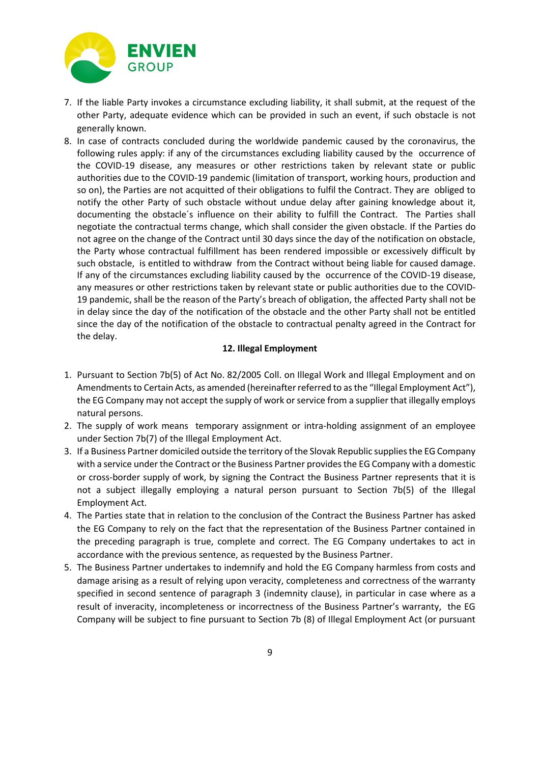

- 7. If the liable Party invokes a circumstance excluding liability, it shall submit, at the request of the other Party, adequate evidence which can be provided in such an event, if such obstacle is not generally known.
- 8. In case of contracts concluded during the worldwide pandemic caused by the coronavirus, the following rules apply: if any of the circumstances excluding liability caused by the occurrence of the COVID-19 disease, any measures or other restrictions taken by relevant state or public authorities due to the COVID-19 pandemic (limitation of transport, working hours, production and so on), the Parties are not acquitted of their obligations to fulfil the Contract. They are obliged to notify the other Party of such obstacle without undue delay after gaining knowledge about it, documenting the obstacle´s influence on their ability to fulfill the Contract. The Parties shall negotiate the contractual terms change, which shall consider the given obstacle. If the Parties do not agree on the change of the Contract until 30 days since the day of the notification on obstacle, the Party whose contractual fulfillment has been rendered impossible or excessively difficult by such obstacle, is entitled to withdraw from the Contract without being liable for caused damage. If any of the circumstances excluding liability caused by the occurrence of the COVID-19 disease, any measures or other restrictions taken by relevant state or public authorities due to the COVID-19 pandemic, shall be the reason of the Party's breach of obligation, the affected Party shall not be in delay since the day of the notification of the obstacle and the other Party shall not be entitled since the day of the notification of the obstacle to contractual penalty agreed in the Contract for the delay.

## **12. Illegal Employment**

- 1. Pursuant to Section 7b(5) of Act No. 82/2005 Coll. on Illegal Work and Illegal Employment and on Amendments to Certain Acts, as amended (hereinafter referred to as the "Illegal Employment Act"), the EG Company may not accept the supply of work or service from a supplier that illegally employs natural persons.
- 2. The supply of work means temporary assignment or intra-holding assignment of an employee under Section 7b(7) of the Illegal Employment Act.
- 3. If a Business Partner domiciled outside the territory of the Slovak Republic supplies the EG Company with a service under the Contract or the Business Partner provides the EG Company with a domestic or cross-border supply of work, by signing the Contract the Business Partner represents that it is not a subject illegally employing a natural person pursuant to Section 7b(5) of the Illegal Employment Act.
- 4. The Parties state that in relation to the conclusion of the Contract the Business Partner has asked the EG Company to rely on the fact that the representation of the Business Partner contained in the preceding paragraph is true, complete and correct. The EG Company undertakes to act in accordance with the previous sentence, as requested by the Business Partner.
- 5. The Business Partner undertakes to indemnify and hold the EG Company harmless from costs and damage arising as a result of relying upon veracity, completeness and correctness of the warranty specified in second sentence of paragraph 3 (indemnity clause), in particular in case where as a result of inveracity, incompleteness or incorrectness of the Business Partner's warranty, the EG Company will be subject to fine pursuant to Section 7b (8) of Illegal Employment Act (or pursuant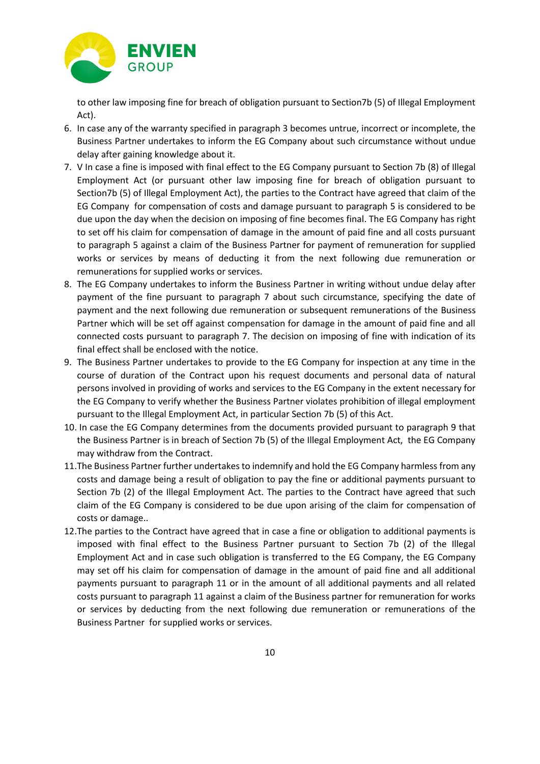

to other law imposing fine for breach of obligation pursuant to Section7b (5) of Illegal Employment Act).

- 6. In case any of the warranty specified in paragraph 3 becomes untrue, incorrect or incomplete, the Business Partner undertakes to inform the EG Company about such circumstance without undue delay after gaining knowledge about it.
- 7. V In case a fine is imposed with final effect to the EG Company pursuant to Section 7b (8) of Illegal Employment Act (or pursuant other law imposing fine for breach of obligation pursuant to Section7b (5) of Illegal Employment Act), the parties to the Contract have agreed that claim of the EG Company for compensation of costs and damage pursuant to paragraph 5 is considered to be due upon the day when the decision on imposing of fine becomes final. The EG Company has right to set off his claim for compensation of damage in the amount of paid fine and all costs pursuant to paragraph 5 against a claim of the Business Partner for payment of remuneration for supplied works or services by means of deducting it from the next following due remuneration or remunerations for supplied works or services.
- 8. The EG Company undertakes to inform the Business Partner in writing without undue delay after payment of the fine pursuant to paragraph 7 about such circumstance, specifying the date of payment and the next following due remuneration or subsequent remunerations of the Business Partner which will be set off against compensation for damage in the amount of paid fine and all connected costs pursuant to paragraph 7. The decision on imposing of fine with indication of its final effect shall be enclosed with the notice.
- 9. The Business Partner undertakes to provide to the EG Company for inspection at any time in the course of duration of the Contract upon his request documents and personal data of natural persons involved in providing of works and services to the EG Company in the extent necessary for the EG Company to verify whether the Business Partner violates prohibition of illegal employment pursuant to the Illegal Employment Act, in particular Section 7b (5) of this Act.
- 10. In case the EG Company determines from the documents provided pursuant to paragraph 9 that the Business Partner is in breach of Section 7b (5) of the Illegal Employment Act, the EG Company may withdraw from the Contract.
- 11.The Business Partner further undertakes to indemnify and hold the EG Company harmless from any costs and damage being a result of obligation to pay the fine or additional payments pursuant to Section 7b (2) of the Illegal Employment Act. The parties to the Contract have agreed that such claim of the EG Company is considered to be due upon arising of the claim for compensation of costs or damage..
- 12.The parties to the Contract have agreed that in case a fine or obligation to additional payments is imposed with final effect to the Business Partner pursuant to Section 7b (2) of the Illegal Employment Act and in case such obligation is transferred to the EG Company, the EG Company may set off his claim for compensation of damage in the amount of paid fine and all additional payments pursuant to paragraph 11 or in the amount of all additional payments and all related costs pursuant to paragraph 11 against a claim of the Business partner for remuneration for works or services by deducting from the next following due remuneration or remunerations of the Business Partner for supplied works or services.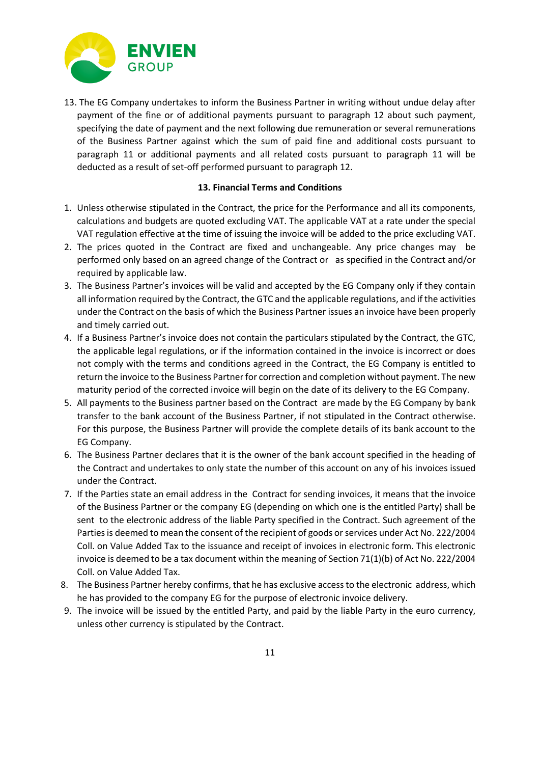

13. The EG Company undertakes to inform the Business Partner in writing without undue delay after payment of the fine or of additional payments pursuant to paragraph 12 about such payment, specifying the date of payment and the next following due remuneration or several remunerations of the Business Partner against which the sum of paid fine and additional costs pursuant to paragraph 11 or additional payments and all related costs pursuant to paragraph 11 will be deducted as a result of set-off performed pursuant to paragraph 12.

### **13. Financial Terms and Conditions**

- 1. Unless otherwise stipulated in the Contract, the price for the Performance and all its components, calculations and budgets are quoted excluding VAT. The applicable VAT at a rate under the special VAT regulation effective at the time of issuing the invoice will be added to the price excluding VAT.
- 2. The prices quoted in the Contract are fixed and unchangeable. Any price changes may be performed only based on an agreed change of the Contract or as specified in the Contract and/or required by applicable law.
- 3. The Business Partner's invoices will be valid and accepted by the EG Company only if they contain all information required by the Contract, the GTC and the applicable regulations, and if the activities under the Contract on the basis of which the Business Partner issues an invoice have been properly and timely carried out.
- 4. If a Business Partner's invoice does not contain the particulars stipulated by the Contract, the GTC, the applicable legal regulations, or if the information contained in the invoice is incorrect or does not comply with the terms and conditions agreed in the Contract, the EG Company is entitled to return the invoice to the Business Partner for correction and completion without payment. The new maturity period of the corrected invoice will begin on the date of its delivery to the EG Company.
- 5. All payments to the Business partner based on the Contract are made by the EG Company by bank transfer to the bank account of the Business Partner, if not stipulated in the Contract otherwise. For this purpose, the Business Partner will provide the complete details of its bank account to the EG Company.
- 6. The Business Partner declares that it is the owner of the bank account specified in the heading of the Contract and undertakes to only state the number of this account on any of his invoices issued under the Contract.
- 7. If the Parties state an email address in the Contract for sending invoices, it means that the invoice of the Business Partner or the company EG (depending on which one is the entitled Party) shall be sent to the electronic address of the liable Party specified in the Contract. Such agreement of the Parties is deemed to mean the consent of the recipient of goods or services under Act No. 222/2004 Coll. on Value Added Tax to the issuance and receipt of invoices in electronic form. This electronic invoice is deemed to be a tax document within the meaning of Section 71(1)(b) of Act No. 222/2004 Coll. on Value Added Tax.
- 8. The Business Partner hereby confirms, that he has exclusive access to the electronic address, which he has provided to the company EG for the purpose of electronic invoice delivery.
- 9. The invoice will be issued by the entitled Party, and paid by the liable Party in the euro currency, unless other currency is stipulated by the Contract.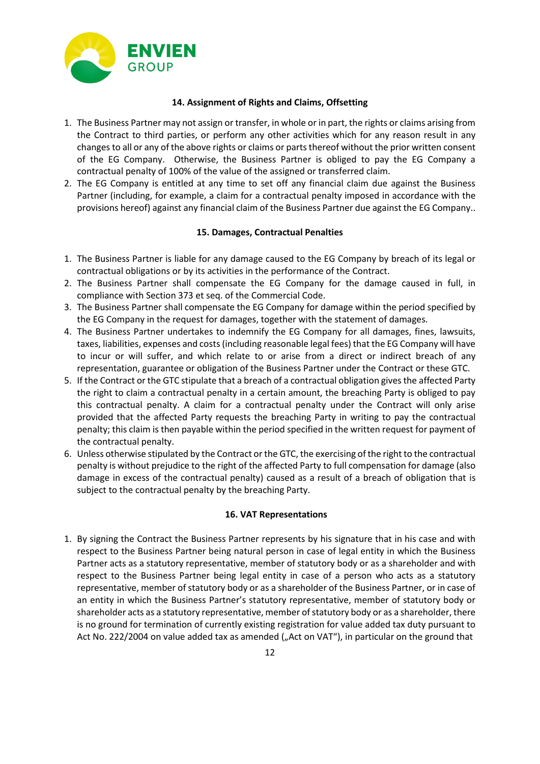

### **14. Assignment of Rights and Claims, Offsetting**

- 1. The Business Partner may not assign or transfer, in whole or in part, the rights or claims arising from the Contract to third parties, or perform any other activities which for any reason result in any changes to all or any of the above rights or claims or parts thereof without the prior written consent of the EG Company. Otherwise, the Business Partner is obliged to pay the EG Company a contractual penalty of 100% of the value of the assigned or transferred claim.
- 2. The EG Company is entitled at any time to set off any financial claim due against the Business Partner (including, for example, a claim for a contractual penalty imposed in accordance with the provisions hereof) against any financial claim of the Business Partner due against the EG Company..

## **15. Damages, Contractual Penalties**

- 1. The Business Partner is liable for any damage caused to the EG Company by breach of its legal or contractual obligations or by its activities in the performance of the Contract.
- 2. The Business Partner shall compensate the EG Company for the damage caused in full, in compliance with Section 373 et seq. of the Commercial Code.
- 3. The Business Partner shall compensate the EG Company for damage within the period specified by the EG Company in the request for damages, together with the statement of damages.
- 4. The Business Partner undertakes to indemnify the EG Company for all damages, fines, lawsuits, taxes, liabilities, expenses and costs (including reasonable legal fees) that the EG Company will have to incur or will suffer, and which relate to or arise from a direct or indirect breach of any representation, guarantee or obligation of the Business Partner under the Contract or these GTC.
- 5. If the Contract or the GTC stipulate that a breach of a contractual obligation gives the affected Party the right to claim a contractual penalty in a certain amount, the breaching Party is obliged to pay this contractual penalty. A claim for a contractual penalty under the Contract will only arise provided that the affected Party requests the breaching Party in writing to pay the contractual penalty; this claim is then payable within the period specified in the written request for payment of the contractual penalty.
- 6. Unless otherwise stipulated by the Contract or the GTC, the exercising of the right to the contractual penalty is without prejudice to the right of the affected Party to full compensation for damage (also damage in excess of the contractual penalty) caused as a result of a breach of obligation that is subject to the contractual penalty by the breaching Party.

#### **16. VAT Representations**

1. By signing the Contract the Business Partner represents by his signature that in his case and with respect to the Business Partner being natural person in case of legal entity in which the Business Partner acts as a statutory representative, member of statutory body or as a shareholder and with respect to the Business Partner being legal entity in case of a person who acts as a statutory representative, member of statutory body or as a shareholder of the Business Partner, or in case of an entity in which the Business Partner's statutory representative, member of statutory body or shareholder acts as a statutory representative, member of statutory body or as a shareholder, there is no ground for termination of currently existing registration for value added tax duty pursuant to Act No. 222/2004 on value added tax as amended ("Act on VAT"), in particular on the ground that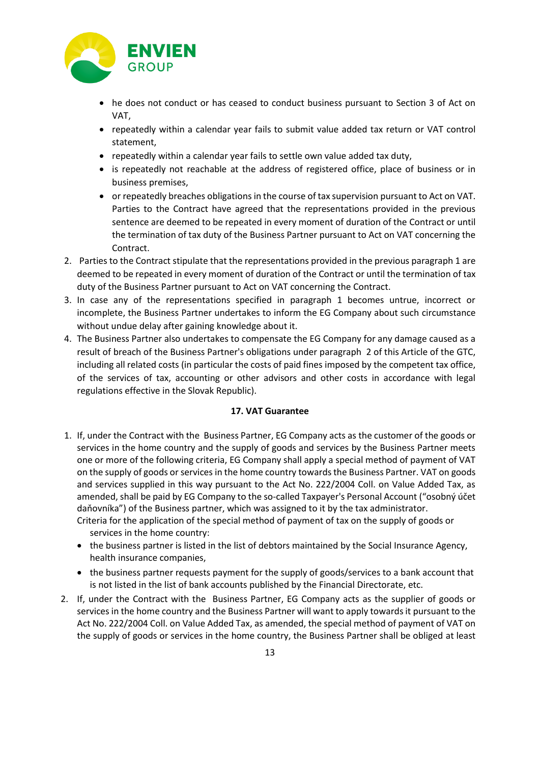

- he does not conduct or has ceased to conduct business pursuant to Section 3 of Act on VAT,
- repeatedly within a calendar year fails to submit value added tax return or VAT control statement,
- repeatedly within a calendar year fails to settle own value added tax duty,
- is repeatedly not reachable at the address of registered office, place of business or in business premises,
- or repeatedly breaches obligations in the course of tax supervision pursuant to Act on VAT. Parties to the Contract have agreed that the representations provided in the previous sentence are deemed to be repeated in every moment of duration of the Contract or until the termination of tax duty of the Business Partner pursuant to Act on VAT concerning the Contract.
- 2. Parties to the Contract stipulate that the representations provided in the previous paragraph 1 are deemed to be repeated in every moment of duration of the Contract or until the termination of tax duty of the Business Partner pursuant to Act on VAT concerning the Contract.
- 3. In case any of the representations specified in paragraph 1 becomes untrue, incorrect or incomplete, the Business Partner undertakes to inform the EG Company about such circumstance without undue delay after gaining knowledge about it.
- 4. The Business Partner also undertakes to compensate the EG Company for any damage caused as a result of breach of the Business Partner's obligations under paragraph 2 of this Article of the GTC, including all related costs (in particular the costs of paid fines imposed by the competent tax office, of the services of tax, accounting or other advisors and other costs in accordance with legal regulations effective in the Slovak Republic).

## **17. VAT Guarantee**

1. If, under the Contract with the Business Partner, EG Company acts as the customer of the goods or services in the home country and the supply of goods and services by the Business Partner meets one or more of the following criteria, EG Company shall apply a special method of payment of VAT on the supply of goods or services in the home country towards the Business Partner. VAT on goods and services supplied in this way pursuant to the Act No. 222/2004 Coll. on Value Added Tax, as amended, shall be paid by EG Company to the so-called Taxpayer's Personal Account ("osobný účet daňovníka") of the Business partner, which was assigned to it by the tax administrator.

Criteria for the application of the special method of payment of tax on the supply of goods or services in the home country:

- the business partner is listed in the list of debtors maintained by the Social Insurance Agency, health insurance companies,
- the business partner requests payment for the supply of goods/services to a bank account that is not listed in the list of bank accounts published by the Financial Directorate, etc.
- 2. If, under the Contract with the Business Partner, EG Company acts as the supplier of goods or services in the home country and the Business Partner will want to apply towards it pursuant to the Act No. 222/2004 Coll. on Value Added Tax, as amended, the special method of payment of VAT on the supply of goods or services in the home country, the Business Partner shall be obliged at least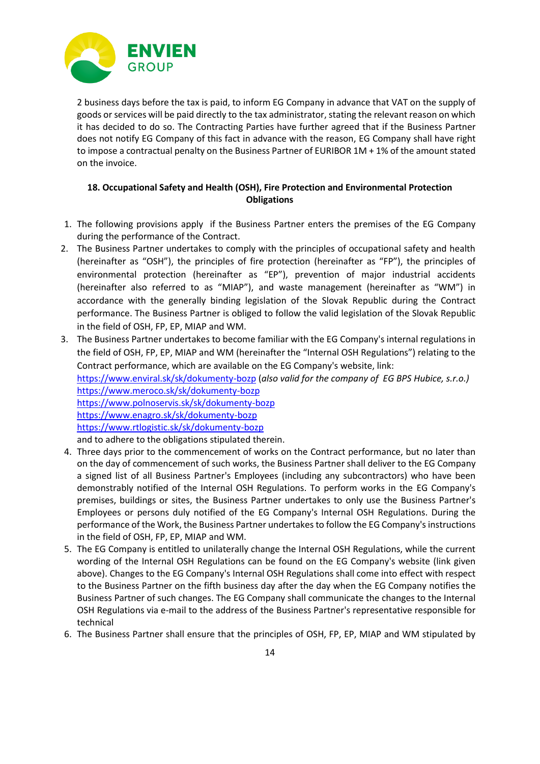

2 business days before the tax is paid, to inform EG Company in advance that VAT on the supply of goods or services will be paid directly to the tax administrator, stating the relevant reason on which it has decided to do so. The Contracting Parties have further agreed that if the Business Partner does not notify EG Company of this fact in advance with the reason, EG Company shall have right to impose a contractual penalty on the Business Partner of EURIBOR 1M + 1% of the amount stated on the invoice.

## **18. Occupational Safety and Health (OSH), Fire Protection and Environmental Protection Obligations**

- 1. The following provisions apply if the Business Partner enters the premises of the EG Company during the performance of the Contract.
- 2. The Business Partner undertakes to comply with the principles of occupational safety and health (hereinafter as "OSH"), the principles of fire protection (hereinafter as "FP"), the principles of environmental protection (hereinafter as "EP"), prevention of major industrial accidents (hereinafter also referred to as "MIAP"), and waste management (hereinafter as "WM") in accordance with the generally binding legislation of the Slovak Republic during the Contract performance. The Business Partner is obliged to follow the valid legislation of the Slovak Republic in the field of OSH, FP, EP, MIAP and WM.
- 3. The Business Partner undertakes to become familiar with the EG Company's internal regulations in the field of OSH, FP, EP, MIAP and WM (hereinafter the "Internal OSH Regulations") relating to the Contract performance, which are available on the EG Company's website, link: <https://www.enviral.sk/sk/dokumenty-bozp> (*also valid for the company of EG BPS Hubice, s.r.o.)* https://www.meroco.sk/sk/dokumenty-bozp https://www.polnoservis.sk/sk/dokumenty-bozp https://www.enagro.sk/sk/dokumenty-bozp https://www.rtlogistic.sk/sk/dokumenty-bozp and to adhere to the obligations stipulated therein.
- 4. Three days prior to the commencement of works on the Contract performance, but no later than on the day of commencement of such works, the Business Partner shall deliver to the EG Company a signed list of all Business Partner's Employees (including any subcontractors) who have been demonstrably notified of the Internal OSH Regulations. To perform works in the EG Company's premises, buildings or sites, the Business Partner undertakes to only use the Business Partner's Employees or persons duly notified of the EG Company's Internal OSH Regulations. During the performance of the Work, the Business Partner undertakes to follow the EG Company's instructions in the field of OSH, FP, EP, MIAP and WM.
- 5. The EG Company is entitled to unilaterally change the Internal OSH Regulations, while the current wording of the Internal OSH Regulations can be found on the EG Company's website (link given above). Changes to the EG Company's Internal OSH Regulations shall come into effect with respect to the Business Partner on the fifth business day after the day when the EG Company notifies the Business Partner of such changes. The EG Company shall communicate the changes to the Internal OSH Regulations via e-mail to the address of the Business Partner's representative responsible for technical
- 6. The Business Partner shall ensure that the principles of OSH, FP, EP, MIAP and WM stipulated by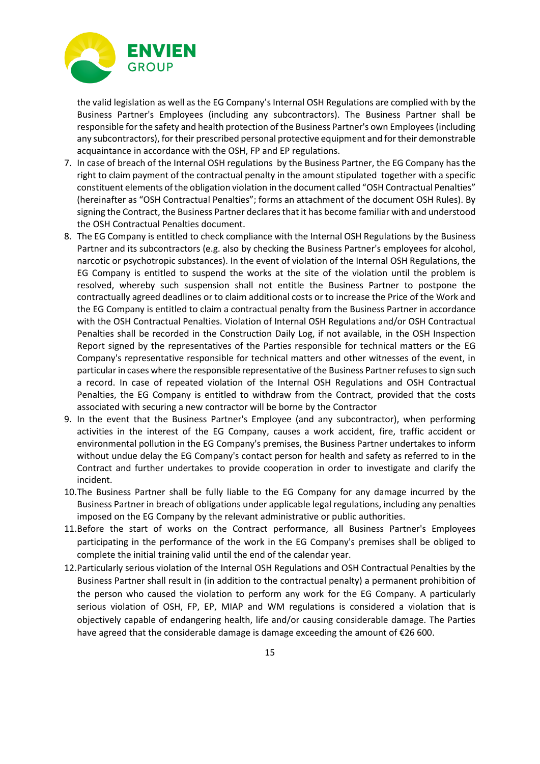

the valid legislation as well as the EG Company's Internal OSH Regulations are complied with by the Business Partner's Employees (including any subcontractors). The Business Partner shall be responsible for the safety and health protection of the Business Partner's own Employees (including any subcontractors), for their prescribed personal protective equipment and for their demonstrable acquaintance in accordance with the OSH, FP and EP regulations.

- 7. In case of breach of the Internal OSH regulations by the Business Partner, the EG Company has the right to claim payment of the contractual penalty in the amount stipulated together with a specific constituent elements of the obligation violation in the document called "OSH Contractual Penalties" (hereinafter as "OSH Contractual Penalties"; forms an attachment of the document OSH Rules). By signing the Contract, the Business Partner declares that it has become familiar with and understood the OSH Contractual Penalties document.
- 8. The EG Company is entitled to check compliance with the Internal OSH Regulations by the Business Partner and its subcontractors (e.g. also by checking the Business Partner's employees for alcohol, narcotic or psychotropic substances). In the event of violation of the Internal OSH Regulations, the EG Company is entitled to suspend the works at the site of the violation until the problem is resolved, whereby such suspension shall not entitle the Business Partner to postpone the contractually agreed deadlines or to claim additional costs or to increase the Price of the Work and the EG Company is entitled to claim a contractual penalty from the Business Partner in accordance with the OSH Contractual Penalties. Violation of Internal OSH Regulations and/or OSH Contractual Penalties shall be recorded in the Construction Daily Log, if not available, in the OSH Inspection Report signed by the representatives of the Parties responsible for technical matters or the EG Company's representative responsible for technical matters and other witnesses of the event, in particular in cases where the responsible representative of the Business Partner refuses to sign such a record. In case of repeated violation of the Internal OSH Regulations and OSH Contractual Penalties, the EG Company is entitled to withdraw from the Contract, provided that the costs associated with securing a new contractor will be borne by the Contractor
- 9. In the event that the Business Partner's Employee (and any subcontractor), when performing activities in the interest of the EG Company, causes a work accident, fire, traffic accident or environmental pollution in the EG Company's premises, the Business Partner undertakes to inform without undue delay the EG Company's contact person for health and safety as referred to in the Contract and further undertakes to provide cooperation in order to investigate and clarify the incident.
- 10.The Business Partner shall be fully liable to the EG Company for any damage incurred by the Business Partner in breach of obligations under applicable legal regulations, including any penalties imposed on the EG Company by the relevant administrative or public authorities.
- 11.Before the start of works on the Contract performance, all Business Partner's Employees participating in the performance of the work in the EG Company's premises shall be obliged to complete the initial training valid until the end of the calendar year.
- 12.Particularly serious violation of the Internal OSH Regulations and OSH Contractual Penalties by the Business Partner shall result in (in addition to the contractual penalty) a permanent prohibition of the person who caused the violation to perform any work for the EG Company. A particularly serious violation of OSH, FP, EP, MIAP and WM regulations is considered a violation that is objectively capable of endangering health, life and/or causing considerable damage. The Parties have agreed that the considerable damage is damage exceeding the amount of €26 600.